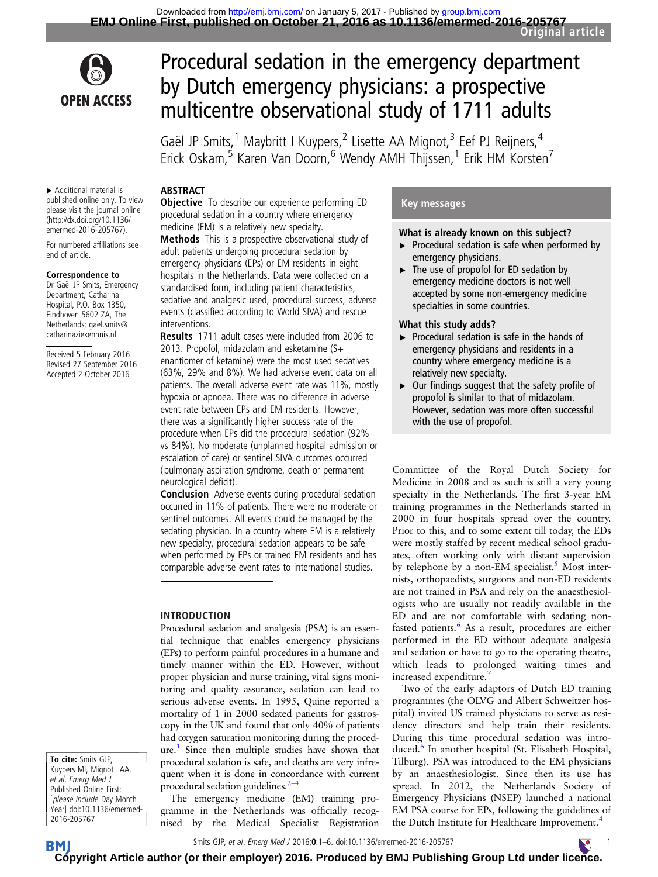



▸ Additional material is published online only. To view please visit the journal online [\(http://dx.doi.org/10.1136/](http://dx.doi.org/10.1136/emermed-2016-205767) [emermed-2016-205767](http://dx.doi.org/10.1136/emermed-2016-205767)). For numbered affiliations see

Correspondence to Dr Gaël JP Smits, Emergency Department, Catharina Hospital, P.O. Box 1350, Eindhoven 5602 ZA, The Netherlands; gael.smits@ catharinaziekenhuis.nl Received 5 February 2016 Revised 27 September 2016 Accepted 2 October 2016

end of article.

# Procedural sedation in the emergency department by Dutch emergency physicians: a prospective multicentre observational study of 1711 adults

Gaël JP Smits,<sup>1</sup> Maybritt I Kuypers,<sup>2</sup> Lisette AA Mignot,<sup>3</sup> Eef PJ Reijners,<sup>4</sup> Erick Oskam,<sup>5</sup> Karen Van Doorn,<sup>6</sup> Wendy AMH Thijssen,<sup>1</sup> Erik HM Korsten<sup>7</sup>

## ABSTRACT

**Objective** To describe our experience performing ED procedural sedation in a country where emergency medicine (EM) is a relatively new specialty.

Methods This is a prospective observational study of adult patients undergoing procedural sedation by emergency physicians (EPs) or EM residents in eight hospitals in the Netherlands. Data were collected on a standardised form, including patient characteristics, sedative and analgesic used, procedural success, adverse events (classified according to World SIVA) and rescue interventions.

Results 1711 adult cases were included from 2006 to 2013. Propofol, midazolam and esketamine (S+ enantiomer of ketamine) were the most used sedatives (63%, 29% and 8%). We had adverse event data on all patients. The overall adverse event rate was 11%, mostly hypoxia or apnoea. There was no difference in adverse event rate between EPs and EM residents. However, there was a significantly higher success rate of the procedure when EPs did the procedural sedation (92% vs 84%). No moderate (unplanned hospital admission or escalation of care) or sentinel SIVA outcomes occurred (pulmonary aspiration syndrome, death or permanent neurological deficit).

Conclusion Adverse events during procedural sedation occurred in 11% of patients. There were no moderate or sentinel outcomes. All events could be managed by the sedating physician. In a country where EM is a relatively new specialty, procedural sedation appears to be safe when performed by EPs or trained EM residents and has comparable adverse event rates to international studies.

## INTRODUCTION

Procedural sedation and analgesia (PSA) is an essential technique that enables emergency physicians (EPs) to perform painful procedures in a humane and timely manner within the ED. However, without proper physician and nurse training, vital signs monitoring and quality assurance, sedation can lead to serious adverse events. In 1995, Quine reported a mortality of 1 in 2000 sedated patients for gastroscopy in the UK and found that only 40% of patients had oxygen saturation monitoring during the procedure.[1](#page-5-0) Since then multiple studies have shown that procedural sedation is safe, and deaths are very infrequent when it is done in concordance with current procedural sedation guidelines. $2-4$ 

The emergency medicine (EM) training programme in the Netherlands was officially recognised by the Medical Specialist Registration

# Key messages

#### What is already known on this subject?

- ▸ Procedural sedation is safe when performed by emergency physicians.
- ▸ The use of propofol for ED sedation by emergency medicine doctors is not well accepted by some non-emergency medicine specialties in some countries.

## What this study adds?

- ▸ Procedural sedation is safe in the hands of emergency physicians and residents in a country where emergency medicine is a relatively new specialty.
- ▸ Our findings suggest that the safety profile of propofol is similar to that of midazolam. However, sedation was more often successful with the use of propofol.

Committee of the Royal Dutch Society for Medicine in 2008 and as such is still a very young specialty in the Netherlands. The first 3-year EM training programmes in the Netherlands started in 2000 in four hospitals spread over the country. Prior to this, and to some extent till today, the EDs were mostly staffed by recent medical school graduates, often working only with distant supervision by telephone by a non-EM specialist.<sup>[5](#page-5-0)</sup> Most internists, orthopaedists, surgeons and non-ED residents are not trained in PSA and rely on the anaesthesiologists who are usually not readily available in the ED and are not comfortable with sedating nonfasted patients.<sup>6</sup> As a result, procedures are either performed in the ED without adequate analgesia and sedation or have to go to the operating theatre, which leads to prolonged waiting times and increased expenditure.<sup>[7](#page-5-0)</sup>

Two of the early adaptors of Dutch ED training programmes (the OLVG and Albert Schweitzer hospital) invited US trained physicians to serve as residency directors and help train their residents. During this time procedural sedation was introduced.[6](#page-5-0) In another hospital (St. Elisabeth Hospital, Tilburg), PSA was introduced to the EM physicians by an anaesthesiologist. Since then its use has spread. In 2012, the Netherlands Society of Emergency Physicians (NSEP) launched a national EM PSA course for EPs, following the guidelines of the Dutch Institute for Healthcare Improvement.<sup>[4](#page-5-0)</sup>

To cite: Smits GJP, Kuypers MI, Mignot LAA, et al. Emerg Med J Published Online First: [please include Day Month Year] doi:10.1136/emermed-2016-205767

**BM** 



**[Cop](http://emj.bmj.com)yright Article author (or their employer) 2016. Produced by BMJ Publishing Group Ltd under lic[enc](http://www.collemergencymed.ac.uk/)e.**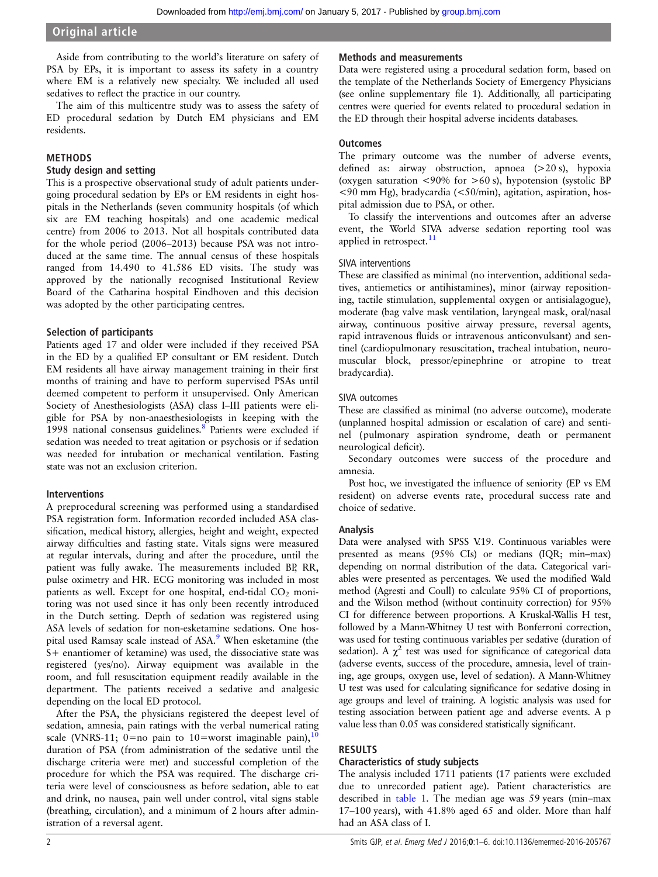## Original article

Aside from contributing to the world's literature on safety of PSA by EPs, it is important to assess its safety in a country where EM is a relatively new specialty. We included all used sedatives to reflect the practice in our country.

The aim of this multicentre study was to assess the safety of ED procedural sedation by Dutch EM physicians and EM residents.

## METHODS

## Study design and setting

This is a prospective observational study of adult patients undergoing procedural sedation by EPs or EM residents in eight hospitals in the Netherlands (seven community hospitals (of which six are EM teaching hospitals) and one academic medical centre) from 2006 to 2013. Not all hospitals contributed data for the whole period (2006–2013) because PSA was not introduced at the same time. The annual census of these hospitals ranged from 14.490 to 41.586 ED visits. The study was approved by the nationally recognised Institutional Review Board of the Catharina hospital Eindhoven and this decision was adopted by the other participating centres.

## Selection of participants

Patients aged 17 and older were included if they received PSA in the ED by a qualified EP consultant or EM resident. Dutch EM residents all have airway management training in their first months of training and have to perform supervised PSAs until deemed competent to perform it unsupervised. Only American Society of Anesthesiologists (ASA) class I–III patients were eligible for PSA by non-anaesthesiologists in keeping with the 199[8](#page-5-0) national consensus guidelines.<sup>8</sup> Patients were excluded if sedation was needed to treat agitation or psychosis or if sedation was needed for intubation or mechanical ventilation. Fasting state was not an exclusion criterion.

## Interventions

A preprocedural screening was performed using a standardised PSA registration form. Information recorded included ASA classification, medical history, allergies, height and weight, expected airway difficulties and fasting state. Vitals signs were measured at regular intervals, during and after the procedure, until the patient was fully awake. The measurements included BP, RR, pulse oximetry and HR. ECG monitoring was included in most patients as well. Except for one hospital, end-tidal  $CO<sub>2</sub>$  monitoring was not used since it has only been recently introduced in the Dutch setting. Depth of sedation was registered using ASA levels of sedation for non-esketamine sedations. One hos-pital used Ramsay scale instead of ASA.<sup>[9](#page-5-0)</sup> When esketamine (the S+ enantiomer of ketamine) was used, the dissociative state was registered (yes/no). Airway equipment was available in the room, and full resuscitation equipment readily available in the department. The patients received a sedative and analgesic depending on the local ED protocol.

After the PSA, the physicians registered the deepest level of sedation, amnesia, pain ratings with the verbal numerical rating scale (VNRS-11;  $0=$ no pain to [10](#page-5-0)=worst imaginable pain),<sup>10</sup> duration of PSA (from administration of the sedative until the discharge criteria were met) and successful completion of the procedure for which the PSA was required. The discharge criteria were level of consciousness as before sedation, able to eat and drink, no nausea, pain well under control, vital signs stable (breathing, circulation), and a minimum of 2 hours after administration of a reversal agent.

## Methods and measurements

Data were registered using a procedural sedation form, based on the template of the Netherlands Society of Emergency Physicians (see online [supplementary](http://dx.doi.org/10.1136/emermed-2016-205767) file 1). Additionally, all participating centres were queried for events related to procedural sedation in the ED through their hospital adverse incidents databases.

## **Outcomes**

The primary outcome was the number of adverse events, defined as: airway obstruction, apnoea (>20 s), hypoxia (oxygen saturation <90% for >60 s), hypotension (systolic BP  $\leq$ 90 mm Hg), bradycardia ( $\leq$ 50/min), agitation, aspiration, hospital admission due to PSA, or other.

To classify the interventions and outcomes after an adverse event, the World SIVA adverse sedation reporting tool was applied in retrospect. $11$ 

## SIVA interventions

These are classified as minimal (no intervention, additional sedatives, antiemetics or antihistamines), minor (airway repositioning, tactile stimulation, supplemental oxygen or antisialagogue), moderate (bag valve mask ventilation, laryngeal mask, oral/nasal airway, continuous positive airway pressure, reversal agents, rapid intravenous fluids or intravenous anticonvulsant) and sentinel (cardiopulmonary resuscitation, tracheal intubation, neuromuscular block, pressor/epinephrine or atropine to treat bradycardia).

## SIVA outcomes

These are classified as minimal (no adverse outcome), moderate (unplanned hospital admission or escalation of care) and sentinel (pulmonary aspiration syndrome, death or permanent neurological deficit).

Secondary outcomes were success of the procedure and amnesia.

Post hoc, we investigated the influence of seniority (EP vs EM resident) on adverse events rate, procedural success rate and choice of sedative.

## Analysis

Data were analysed with SPSS V.19. Continuous variables were presented as means (95% CIs) or medians (IQR; min–max) depending on normal distribution of the data. Categorical variables were presented as percentages. We used the modified Wald method (Agresti and Coull) to calculate 95% CI of proportions, and the Wilson method (without continuity correction) for 95% CI for difference between proportions. A Kruskal-Wallis H test, followed by a Mann-Whitney U test with Bonferroni correction, was used for testing continuous variables per sedative (duration of sedation). A  $\chi^2$  test was used for significance of categorical data (adverse events, success of the procedure, amnesia, level of training, age groups, oxygen use, level of sedation). A Mann-Whitney U test was used for calculating significance for sedative dosing in age groups and level of training. A logistic analysis was used for testing association between patient age and adverse events. A p value less than 0.05 was considered statistically significant.

## RESULTS

## Characteristics of study subjects

The analysis included 1711 patients (17 patients were excluded due to unrecorded patient age). Patient characteristics are described in [table 1.](#page-2-0) The median age was 59 years (min–max 17–100 years), with 41.8% aged 65 and older. More than half had an ASA class of I.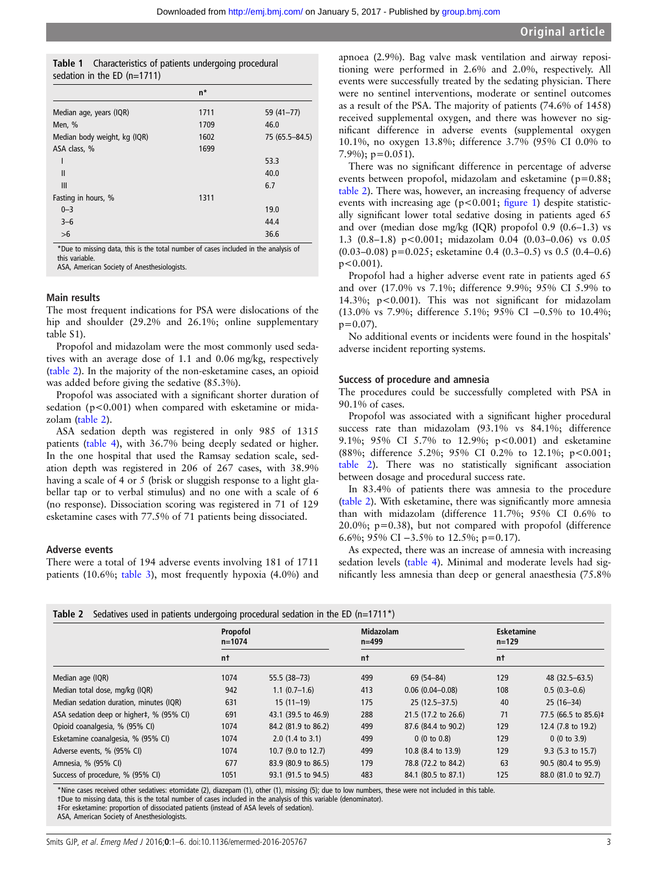<span id="page-2-0"></span>

| <b>Table 1</b> Characteristics of patients undergoing procedural |
|------------------------------------------------------------------|
| sedation in the ED $(n=1711)$                                    |

|                                                                                                       | n*   |                |
|-------------------------------------------------------------------------------------------------------|------|----------------|
| Median age, years (IQR)                                                                               | 1711 | $59(41 - 77)$  |
| Men, %                                                                                                | 1709 | 46.0           |
| Median body weight, kg (IQR)                                                                          | 1602 | 75 (65.5–84.5) |
| ASA class, %                                                                                          | 1699 |                |
| ı                                                                                                     |      | 53.3           |
| $\mathbf{I}$                                                                                          |      | 40.0           |
| Ш                                                                                                     |      | 6.7            |
| Fasting in hours, %                                                                                   | 1311 |                |
| $0 - 3$                                                                                               |      | 19.0           |
| $3 - 6$                                                                                               |      | 44.4           |
| >6                                                                                                    |      | 36.6           |
| *Due to missing data, this is the total number of cases included in the analysis of<br>this variable. |      |                |

ASA, American Society of Anesthesiologists.

#### Main results

The most frequent indications for PSA were dislocations of the hip and shoulder (29.2% and 26.1%; online [supplementary](http://dx.doi.org/10.1136/emermed-2016-205767) [table S1](http://dx.doi.org/10.1136/emermed-2016-205767)).

Propofol and midazolam were the most commonly used sedatives with an average dose of 1.1 and 0.06 mg/kg, respectively (table 2). In the majority of the non-esketamine cases, an opioid was added before giving the sedative (85.3%).

Propofol was associated with a significant shorter duration of sedation (p<0.001) when compared with esketamine or midazolam (table 2).

ASA sedation depth was registered in only 985 of 1315 patients [\(table 4](#page-3-0)), with 36.7% being deeply sedated or higher. In the one hospital that used the Ramsay sedation scale, sedation depth was registered in 206 of 267 cases, with 38.9% having a scale of 4 or 5 (brisk or sluggish response to a light glabellar tap or to verbal stimulus) and no one with a scale of 6 (no response). Dissociation scoring was registered in 71 of 129 esketamine cases with 77.5% of 71 patients being dissociated.

#### Adverse events

There were a total of 194 adverse events involving 181 of 1711 patients (10.6%; [table 3\)](#page-3-0), most frequently hypoxia (4.0%) and

apnoea (2.9%). Bag valve mask ventilation and airway repositioning were performed in 2.6% and 2.0%, respectively. All events were successfully treated by the sedating physician. There were no sentinel interventions, moderate or sentinel outcomes as a result of the PSA. The majority of patients (74.6% of 1458) received supplemental oxygen, and there was however no significant difference in adverse events (supplemental oxygen 10.1%, no oxygen 13.8%; difference 3.7% (95% CI 0.0% to 7.9%);  $p=0.051$ ).

There was no significant difference in percentage of adverse events between propofol, midazolam and esketamine (p=0.88; table 2). There was, however, an increasing frequency of adverse events with increasing age ( $p < 0.001$ ; fi[gure 1](#page-3-0)) despite statistically significant lower total sedative dosing in patients aged 65 and over (median dose mg/kg (IQR) propofol 0.9 (0.6–1.3) vs 1.3 (0.8–1.8) p<0.001; midazolam 0.04 (0.03–0.06) vs 0.05 (0.03–0.08) p=0.025; esketamine 0.4 (0.3–0.5) vs 0.5 (0.4–0.6) p<0.001).

Propofol had a higher adverse event rate in patients aged 65 and over (17.0% vs 7.1%; difference 9.9%; 95% CI 5.9% to 14.3%; p<0.001). This was not significant for midazolam (13.0% vs 7.9%; difference 5.1%; 95% CI −0.5% to 10.4%;  $p=0.07$ ).

No additional events or incidents were found in the hospitals' adverse incident reporting systems.

#### Success of procedure and amnesia

The procedures could be successfully completed with PSA in 90.1% of cases.

Propofol was associated with a significant higher procedural success rate than midazolam (93.1% vs 84.1%; difference 9.1%; 95% CI 5.7% to 12.9%; p<0.001) and esketamine (88%; difference 5.2%; 95% CI 0.2% to 12.1%; p<0.001; table 2). There was no statistically significant association between dosage and procedural success rate.

In 83.4% of patients there was amnesia to the procedure (table 2). With esketamine, there was significantly more amnesia than with midazolam (difference 11.7%; 95% CI 0.6% to 20.0%; p=0.38), but not compared with propofol (difference 6.6%; 95% CI −3.5% to 12.5%; p=0.17).

As expected, there was an increase of amnesia with increasing sedation levels [\(table 4\)](#page-3-0). Minimal and moderate levels had significantly less amnesia than deep or general anaesthesia (75.8%

| Sedatives used in patients undergoing procedural sedation in the ED (n=1/11^)<br>Table 2 |                        |                     |                               |                     |                                |                      |
|------------------------------------------------------------------------------------------|------------------------|---------------------|-------------------------------|---------------------|--------------------------------|----------------------|
|                                                                                          | Propofol<br>$n = 1074$ |                     | <b>Midazolam</b><br>$n = 499$ |                     | <b>Esketamine</b><br>$n = 129$ |                      |
|                                                                                          | nt                     |                     | nt                            |                     | nt                             |                      |
| Median age (IQR)                                                                         | 1074                   | $55.5(38-73)$       | 499                           | $69(54 - 84)$       | 129                            | 48 (32.5–63.5)       |
| Median total dose, mg/kg (IQR)                                                           | 942                    | $1.1(0.7-1.6)$      | 413                           | $0.06(0.04 - 0.08)$ | 108                            | $0.5(0.3-0.6)$       |
| Median sedation duration, minutes (IQR)                                                  | 631                    | $15(11-19)$         | 175                           | 25 (12.5–37.5)      | 40                             | $25(16-34)$          |
| ASA sedation deep or higher#, % (95% CI)                                                 | 691                    | 43.1 (39.5 to 46.9) | 288                           | 21.5 (17.2 to 26.6) | 71                             | 77.5 (66.5 to 85.6)‡ |
| Opioid coanalgesia, % (95% CI)                                                           | 1074                   | 84.2 (81.9 to 86.2) | 499                           | 87.6 (84.4 to 90.2) | 129                            | 12.4 (7.8 to 19.2)   |
| Esketamine coanalgesia, % (95% CI)                                                       | 1074                   | $2.0$ (1.4 to 3.1)  | 499                           | 0(0 to 0.8)         | 129                            | 0(0 to 3.9)          |
| Adverse events, % (95% CI)                                                               | 1074                   | 10.7 (9.0 to 12.7)  | 499                           | 10.8 (8.4 to 13.9)  | 129                            | $9.3$ (5.3 to 15.7)  |

Amnesia, % (95% CI) 63 (80.4 to 95.9) 677 83.9 (80.9 to 86.5) 179 78.8 (72.2 to 84.2) 63 90.5 (80.4 to 95.9) Success of procedure, % (95% CI) **1051** 93.1 (91.5 to 94.5) 483 84.1 (80.5 to 87.1) 125 88.0 (81.0 to 92.7)

 $\frac{1}{2}$  Sedatives used in patients undergoing procedural sedation in the ED (n=1711\*)

\*Nine cases received other sedatives: etomidate (2), diazepam (1), other (1), missing (5); due to low numbers, these were not included in this table. †Due to missing data, this is the total number of cases included in the analysis of this variable (denominator).

‡For esketamine: proportion of dissociated patients (instead of ASA levels of sedation).

ASA, American Society of Anesthesiologists.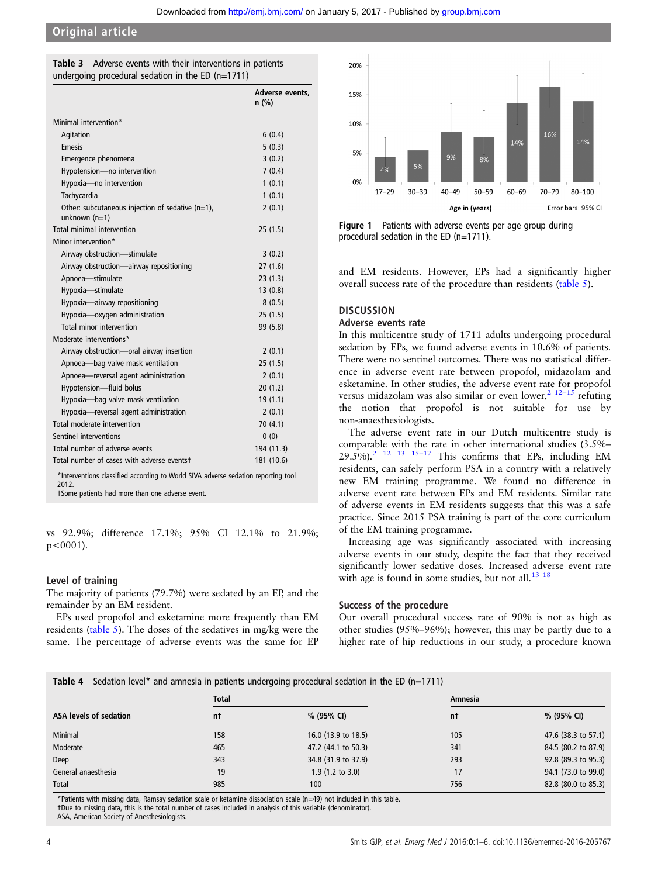## <span id="page-3-0"></span>Original article

| <b>Table 3</b> Adverse events with their interventions in patients |
|--------------------------------------------------------------------|
| undergoing procedural sedation in the ED $(n=1711)$                |

|                                                                        | Adverse events,<br>$n$ (%) |  |
|------------------------------------------------------------------------|----------------------------|--|
| Minimal intervention*                                                  |                            |  |
| Agitation                                                              | 6(0.4)                     |  |
| <b>Emesis</b>                                                          | 5(0.3)                     |  |
| Emergence phenomena                                                    | 3(0.2)                     |  |
| Hypotension-no intervention                                            | 7(0.4)                     |  |
| Hypoxia-no intervention                                                | 1(0.1)                     |  |
| Tachycardia                                                            | 1(0.1)                     |  |
| Other: subcutaneous injection of sedative $(n=1)$ ,<br>unknown $(n=1)$ | 2(0.1)                     |  |
| Total minimal intervention                                             | 25(1.5)                    |  |
| Minor intervention*                                                    |                            |  |
| Airway obstruction-stimulate                                           | 3(0.2)                     |  |
| Airway obstruction-airway repositioning                                | 27(1.6)                    |  |
| Apnoea-stimulate                                                       | 23(1.3)                    |  |
| Hypoxia-stimulate                                                      | 13(0.8)                    |  |
| Hypoxia-airway repositioning                                           | 8(0.5)                     |  |
| Hypoxia-oxygen administration                                          | 25(1.5)                    |  |
| Total minor intervention                                               | 99 (5.8)                   |  |
| Moderate interventions*                                                |                            |  |
| Airway obstruction-oral airway insertion                               | 2(0.1)                     |  |
| Apnoea-bag valve mask ventilation                                      | 25(1.5)                    |  |
| Apnoea-reversal agent administration                                   | 2(0.1)                     |  |
| Hypotension-fluid bolus                                                | 20(1.2)                    |  |
| Hypoxia-bag valve mask ventilation                                     | 19(1.1)                    |  |
| Hypoxia-reversal agent administration                                  | 2(0.1)                     |  |
| Total moderate intervention                                            | 70(4.1)                    |  |
| Sentinel interventions                                                 | 0(0)                       |  |
| Total number of adverse events                                         | 194 (11.3)                 |  |
| Total number of cases with adverse eventst<br>181 (10.6)               |                            |  |

\*Interventions classified according to World SIVA adverse sedation reporting tool 2012.

†Some patients had more than one adverse event.

vs 92.9%; difference 17.1%; 95% CI 12.1% to 21.9%;  $p < 0001$ ).

## Level of training

The majority of patients (79.7%) were sedated by an EP, and the remainder by an EM resident.

EPs used propofol and esketamine more frequently than EM residents [\(table 5](#page-4-0)). The doses of the sedatives in mg/kg were the same. The percentage of adverse events was the same for EP



Figure 1 Patients with adverse events per age group during procedural sedation in the ED (n=1711).

and EM residents. However, EPs had a significantly higher overall success rate of the procedure than residents [\(table 5](#page-4-0)).

## **DISCUSSION**

## Adverse events rate

In this multicentre study of 1711 adults undergoing procedural sedation by EPs, we found adverse events in 10.6% of patients. There were no sentinel outcomes. There was no statistical difference in adverse event rate between propofol, midazolam and esketamine. In other studies, the adverse event rate for propofol versus midazolam was also similar or even lower,<sup>2</sup> <sup>12-15</sup> refuting the notion that propofol is not suitable for use by non-anaesthesiologists.

The adverse event rate in our Dutch multicentre study is comparable with the rate in other international studies (3.5%–  $29.5\%$ ).<sup>2</sup> <sup>12</sup> <sup>13</sup> <sup>15-17</sup> This confirms that EPs, including EM residents, can safely perform PSA in a country with a relatively new EM training programme. We found no difference in adverse event rate between EPs and EM residents. Similar rate of adverse events in EM residents suggests that this was a safe practice. Since 2015 PSA training is part of the core curriculum of the EM training programme.

Increasing age was significantly associated with increasing adverse events in our study, despite the fact that they received significantly lower sedative doses. Increased adverse event rate with age is found in some studies, but not all.<sup>13</sup> <sup>18</sup>

## Success of the procedure

Our overall procedural success rate of 90% is not as high as other studies (95%–96%); however, this may be partly due to a higher rate of hip reductions in our study, a procedure known

|  |  |  |  | Table 4 Sedation level* and amnesia in patients undergoing procedural sedation in the ED ( $n=1711$ ) |
|--|--|--|--|-------------------------------------------------------------------------------------------------------|
|--|--|--|--|-------------------------------------------------------------------------------------------------------|

|                        | <b>Total</b> |                            | Amnesia |                     |
|------------------------|--------------|----------------------------|---------|---------------------|
| ASA levels of sedation | nt           | % (95% CI)                 | nt      | % (95% CI)          |
| Minimal                | 158          | 16.0 (13.9 to 18.5)        | 105     | 47.6 (38.3 to 57.1) |
| Moderate               | 465          | 47.2 (44.1 to 50.3)        | 341     | 84.5 (80.2 to 87.9) |
| Deep                   | 343          | 34.8 (31.9 to 37.9)        | 293     | 92.8 (89.3 to 95.3) |
| General anaesthesia    | 19           | $1.9(1.2 \text{ to } 3.0)$ | 17      | 94.1 (73.0 to 99.0) |
| Total                  | 985          | 100                        | 756     | 82.8 (80.0 to 85.3) |

\*Patients with missing data, Ramsay sedation scale or ketamine dissociation scale (n=49) not included in this table. †Due to missing data, this is the total number of cases included in analysis of this variable (denominator). ASA, American Society of Anesthesiologists.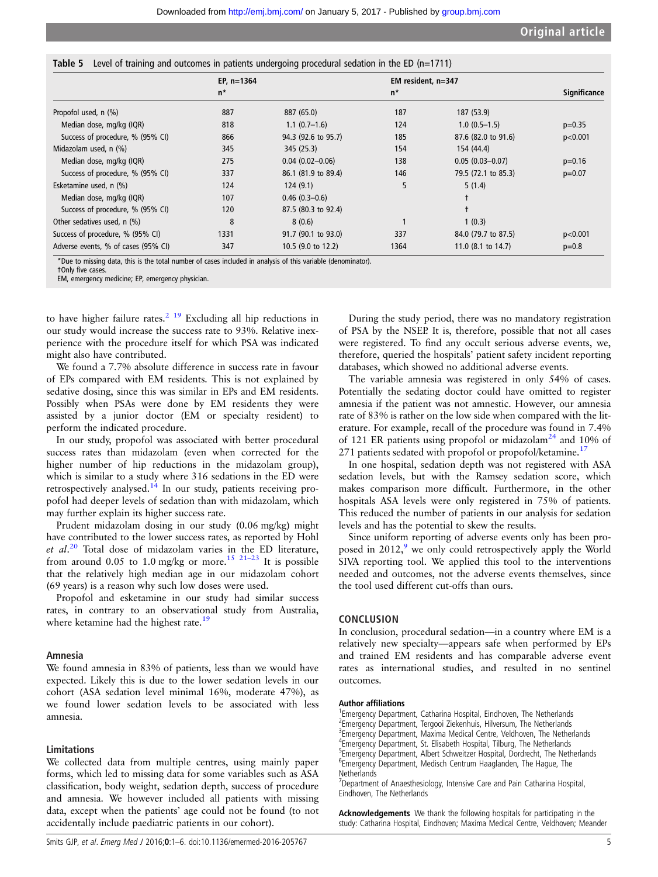<span id="page-4-0"></span>**Table 5** Level of training and outcomes in patients undergoing procedural sedation in the ED ( $n=1711$ )

|                                     | EP, $n=1364$ |                     | EM resident, n=347 |                               |                     |
|-------------------------------------|--------------|---------------------|--------------------|-------------------------------|---------------------|
|                                     | $n^*$        |                     | $n^*$              |                               | <b>Significance</b> |
| Propofol used, n (%)                | 887          | 887 (65.0)          | 187                | 187 (53.9)                    |                     |
| Median dose, mg/kg (IQR)            | 818          | $1.1(0.7-1.6)$      | 124                | $1.0(0.5-1.5)$                | $p=0.35$            |
| Success of procedure, % (95% CI)    | 866          | 94.3 (92.6 to 95.7) | 185                | 87.6 (82.0 to 91.6)           | p<0.001             |
| Midazolam used, n (%)               | 345          | 345 (25.3)          | 154                | 154 (44.4)                    |                     |
| Median dose, mg/kg (IQR)            | 275          | $0.04(0.02 - 0.06)$ | 138                | $0.05(0.03 - 0.07)$           | $p=0.16$            |
| Success of procedure, % (95% CI)    | 337          | 86.1 (81.9 to 89.4) | 146                | 79.5 (72.1 to 85.3)           | $p=0.07$            |
| Esketamine used, n (%)              | 124          | 124(9.1)            | 5                  | 5(1.4)                        |                     |
| Median dose, mg/kg (IQR)            | 107          | $0.46(0.3-0.6)$     |                    |                               |                     |
| Success of procedure, % (95% CI)    | 120          | 87.5 (80.3 to 92.4) |                    | $\ddagger$                    |                     |
| Other sedatives used, n (%)         | 8            | 8(0.6)              |                    | 1(0.3)                        |                     |
| Success of procedure, % (95% CI)    | 1331         | 91.7 (90.1 to 93.0) | 337                | 84.0 (79.7 to 87.5)           | p<0.001             |
| Adverse events, % of cases (95% CI) | 347          | 10.5 (9.0 to 12.2)  | 1364               | 11.0 $(8.1 \text{ to } 14.7)$ | $p=0.8$             |

\*Due to missing data, this is the total number of cases included in analysis of this variable (denominator).

†Only five cases.

EM, emergency medicine; EP, emergency physician.

to have higher failure rates.<sup>2</sup> <sup>19</sup> Excluding all hip reductions in our study would increase the success rate to 93%. Relative inexperience with the procedure itself for which PSA was indicated might also have contributed.

We found a 7.7% absolute difference in success rate in favour of EPs compared with EM residents. This is not explained by sedative dosing, since this was similar in EPs and EM residents. Possibly when PSAs were done by EM residents they were assisted by a junior doctor (EM or specialty resident) to perform the indicated procedure.

In our study, propofol was associated with better procedural success rates than midazolam (even when corrected for the higher number of hip reductions in the midazolam group), which is similar to a study where 316 sedations in the ED were retrospectively analysed.<sup>[14](#page-5-0)</sup> In our study, patients receiving propofol had deeper levels of sedation than with midazolam, which may further explain its higher success rate.

Prudent midazolam dosing in our study (0.06 mg/kg) might have contributed to the lower success rates, as reported by Hohl et al.<sup>[20](#page-5-0)</sup> Total dose of midazolam varies in the ED literature, from around 0.05 to 1.0 mg/kg or more.<sup>[15](#page-5-0) 21–[23](#page-5-0)</sup> It is possible that the relatively high median age in our midazolam cohort (69 years) is a reason why such low doses were used.

Propofol and esketamine in our study had similar success rates, in contrary to an observational study from Australia, where ketamine had the highest rate.<sup>[19](#page-5-0)</sup>

#### Amnesia

We found amnesia in 83% of patients, less than we would have expected. Likely this is due to the lower sedation levels in our cohort (ASA sedation level minimal 16%, moderate 47%), as we found lower sedation levels to be associated with less amnesia.

## Limitations

We collected data from multiple centres, using mainly paper forms, which led to missing data for some variables such as ASA classification, body weight, sedation depth, success of procedure and amnesia. We however included all patients with missing data, except when the patients' age could not be found (to not accidentally include paediatric patients in our cohort).

During the study period, there was no mandatory registration of PSA by the NSEP. It is, therefore, possible that not all cases were registered. To find any occult serious adverse events, we, therefore, queried the hospitals' patient safety incident reporting databases, which showed no additional adverse events.

The variable amnesia was registered in only 54% of cases. Potentially the sedating doctor could have omitted to register amnesia if the patient was not amnestic. However, our amnesia rate of 83% is rather on the low side when compared with the literature. For example, recall of the procedure was found in 7.4% of 121 ER patients using propofol or midazolam<sup>[24](#page-5-0)</sup> and 10% of 271 patients sedated with propofol or propofol/ketamine.<sup>[17](#page-5-0)</sup>

In one hospital, sedation depth was not registered with ASA sedation levels, but with the Ramsey sedation score, which makes comparison more difficult. Furthermore, in the other hospitals ASA levels were only registered in 75% of patients. This reduced the number of patients in our analysis for sedation levels and has the potential to skew the results.

Since uniform reporting of adverse events only has been pro-posed in 2012,<sup>[9](#page-5-0)</sup> we only could retrospectively apply the World SIVA reporting tool. We applied this tool to the interventions needed and outcomes, not the adverse events themselves, since the tool used different cut-offs than ours.

#### CONCLUSION

In conclusion, procedural sedation—in a country where EM is a relatively new specialty—appears safe when performed by EPs and trained EM residents and has comparable adverse event rates as international studies, and resulted in no sentinel outcomes.

#### Author affiliations <sup>1</sup>

<sup>1</sup> Emergency Department, Catharina Hospital, Eindhoven, The Netherlands <sup>2</sup>Emergency Department, Tergooi Ziekenhuis, Hilversum, The Netherlands <sup>3</sup>Emergency Department, Maxima Medical Centre, Veldhoven, The Netherlands 4 Emergency Department, St. Elisabeth Hospital, Tilburg, The Netherlands <sup>5</sup>Emergency Department, Albert Schweitzer Hospital, Dordrecht, The Netherlands 6 Emergency Department, Medisch Centrum Haaglanden, The Hague, The Netherlands

<sup>7</sup>Department of Anaesthesiology, Intensive Care and Pain Catharina Hospital, Eindhoven, The Netherlands

Acknowledgements We thank the following hospitals for participating in the study: Catharina Hospital, Eindhoven; Maxima Medical Centre, Veldhoven; Meander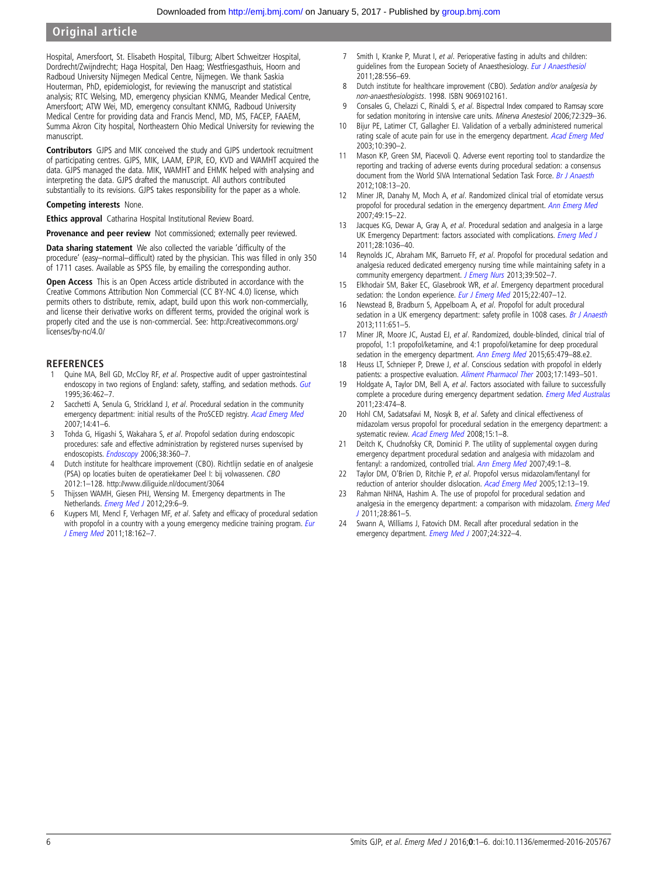## <span id="page-5-0"></span>Original article

Hospital, Amersfoort, St. Elisabeth Hospital, Tilburg; Albert Schweitzer Hospital, Dordrecht/Zwijndrecht; Haga Hospital, Den Haag; Westfriesgasthuis, Hoorn and Radboud University Nijmegen Medical Centre, Nijmegen. We thank Saskia Houterman, PhD, epidemiologist, for reviewing the manuscript and statistical analysis; RTC Welsing, MD, emergency physician KNMG, Meander Medical Centre, Amersfoort; ATW Wei, MD, emergency consultant KNMG, Radboud University Medical Centre for providing data and Francis Mencl, MD, MS, FACEP, FAAEM, Summa Akron City hospital, Northeastern Ohio Medical University for reviewing the manuscript.

Contributors GJPS and MIK conceived the study and GJPS undertook recruitment of participating centres. GJPS, MIK, LAAM, EPJR, EO, KVD and WAMHT acquired the data. GJPS managed the data. MIK, WAMHT and EHMK helped with analysing and interpreting the data. GJPS drafted the manuscript. All authors contributed substantially to its revisions. GJPS takes responsibility for the paper as a whole.

#### Competing interests None.

Ethics approval Catharina Hospital Institutional Review Board.

Provenance and peer review Not commissioned; externally peer reviewed.

Data sharing statement We also collected the variable 'difficulty of the procedure' (easy–normal–difficult) rated by the physician. This was filled in only 350 of 1711 cases. Available as SPSS file, by emailing the corresponding author.

Open Access This is an Open Access article distributed in accordance with the Creative Commons Attribution Non Commercial (CC BY-NC 4.0) license, which permits others to distribute, remix, adapt, build upon this work non-commercially, and license their derivative works on different terms, provided the original work is properly cited and the use is non-commercial. See: [http://creativecommons.org/](http://creativecommons.org/licenses/by-nc/4.0/) [licenses/by-nc/4.0/](http://creativecommons.org/licenses/by-nc/4.0/)

#### **REFERENCES**

- Quine MA, Bell GD, McCloy RF, et al. Prospective audit of upper gastrointestinal endoscopy in two regions of England: safety, staffing, and sedation methods. [Gut](http://dx.doi.org/10.1136/gut.36.3.462) 1995;36:462–7.
- 2 Sacchetti A, Senula G, Strickland J, et al. Procedural sedation in the community emergency department: initial results of the ProSCED registry. [Acad Emerg Med](http://dx.doi.org/10.1197/j.aem.2006.05.023) 2007;14:41–6.
- 3 Tohda G, Higashi S, Wakahara S, et al. Propofol sedation during endoscopic procedures: safe and effective administration by registered nurses supervised by endoscopists. [Endoscopy](http://dx.doi.org/10.1055/s-2005-921192) 2006;38:360-7.
- 4 Dutch institute for healthcare improvement (CBO). Richtlijn sedatie en of analgesie (PSA) op locaties buiten de operatiekamer Deel I: bij volwassenen. CBO 2012:1–128.<http://www.diliguide.nl/document/3064>
- 5 Thijssen WAMH, Giesen PHJ, Wensing M. Emergency departments in The Netherlands. [Emerg Med J](http://dx.doi.org/10.1136/emermed-2011-200090) 2012;29:6-9.
- 6 Kuypers MI, Mencl F, Verhagen MF, et al. Safety and efficacy of procedural sedation with propofol in a country with a young emergency medicine training program. [Eur](http://dx.doi.org/10.1097/MEJ.0b013e32834230fb) [J Emerg Med](http://dx.doi.org/10.1097/MEJ.0b013e32834230fb) 2011;18:162–7.
- 7 Smith I, Kranke P, Murat I, et al. Perioperative fasting in adults and children: guidelines from the European Society of Anaesthesiology. [Eur J Anaesthesiol](http://dx.doi.org/10.1097/EJA.0b013e3283495ba1) 2011;28:556–69.
- 8 Dutch institute for healthcare improvement (CBO). Sedation and/or analgesia by non-anaesthesiologists. 1998. ISBN 9069102161.
- 9 Consales G, Chelazzi C, Rinaldi S, et al. Bispectral Index compared to Ramsay score for sedation monitoring in intensive care units. Minerva Anestesiol 2006;72:329-36.
- 10 Bijur PE, Latimer CT, Gallagher EJ. Validation of a verbally administered numerical rating scale of acute pain for use in the emergency department. [Acad Emerg Med](http://dx.doi.org/10.1111/j.1553-2712.2003.tb01355.x) 2003;10:390–2.
- 11 Mason KP, Green SM, Piacevoli Q. Adverse event reporting tool to standardize the reporting and tracking of adverse events during procedural sedation: a consensus document from the World SIVA International Sedation Task Force. [Br J Anaesth](http://dx.doi.org/10.1093/bja/aer407) 2012;108:13–20.
- Miner JR, Danahy M, Moch A, et al. Randomized clinical trial of etomidate versus propofol for procedural sedation in the emergency department. [Ann Emerg Med](http://dx.doi.org/10.1016/j.annemergmed.2006.06.042) 2007;49:15–22.
- 13 Jacques KG, Dewar A, Gray A, et al. Procedural sedation and analgesia in a large UK Emergency Department: factors associated with complications. [Emerg Med J](http://dx.doi.org/10.1136/emj.2010.102475) 2011;28:1036–40.
- 14 Reynolds JC, Abraham MK, Barrueto FF, et al. Propofol for procedural sedation and analgesia reduced dedicated emergency nursing time while maintaining safety in a community emergency department. [J Emerg](http://dx.doi.org/10.1016/j.jen.2013.03.001) Nurs 2013;39:502-7.
- 15 Elkhodair SM, Baker EC, Glasebrook WR, et al. Emergency department procedural sedation: the London experience. [Eur J Emerg Med](http://dx.doi.org/10.1097/MEJ.0000000000000197) 2015;22:407-12.
- 16 Newstead B, Bradburn S, Appelboam A, et al. Propofol for adult procedural sedation in a UK emergency department: safety profile in 1008 cases. [Br J Anaesth](http://dx.doi.org/10.1093/bja/aet168) 2013;111:651–5.
- 17 Miner JR, Moore JC, Austad EJ, et al. Randomized, double-blinded, clinical trial of propofol, 1:1 propofol/ketamine, and 4:1 propofol/ketamine for deep procedural sedation in the emergency department. [Ann Emerg Med](http://dx.doi.org/10.1016/j.annemergmed.2014.08.046) 2015;65:479-88.e2.
- 18 Heuss LT, Schnieper P, Drewe J, et al. Conscious sedation with propofol in elderly patients: a prospective evaluation. [Aliment Pharmacol Ther](http://dx.doi.org/10.1046/j.1365-2036.2003.01608.x) 2003;17:1493-501.
- 19 Holdgate A, Taylor DM, Bell A, et al. Factors associated with failure to successfully complete a procedure during emergency department sedation. [Emerg Med Australas](http://dx.doi.org/10.1111/j.1742-6723.2011.01420.x) 2011;23:474–8.
- 20 Hohl CM, Sadatsafavi M, Nosyk B, et al. Safety and clinical effectiveness of midazolam versus propofol for procedural sedation in the emergency department: a systematic review. [Acad Emerg Med](http://dx.doi.org/10.1111/j.1553-2712.2007.00022.x) 2008;15:1-8.
- 21 Deitch K, Chudnofsky CR, Dominici P. The utility of supplemental oxygen during emergency department procedural sedation and analgesia with midazolam and fentanyl: a randomized, controlled trial. [Ann Emerg Med](http://dx.doi.org/10.1016/j.annemergmed.2006.06.013) 2007;49:1-8.
- 22 Taylor DM, O'Brien D, Ritchie P, et al. Propofol versus midazolam/fentanyl for reduction of anterior shoulder dislocation. [Acad Emerg Med](http://dx.doi.org/10.1197/j.aem.2004.08.039) 2005;12:13-19.
- 23 Rahman NHNA, Hashim A. The use of propofol for procedural sedation and analgesia in the emergency department: a comparison with midazolam. [Emerg Med](http://dx.doi.org/10.1136/emj.2009.085019) [J](http://dx.doi.org/10.1136/emj.2009.085019) 2011;28:861–5.
- 24 Swann A, Williams J, Fatovich DM. Recall after procedural sedation in the emergency department. [Emerg Med J](http://dx.doi.org/10.1136/emj.2006.040923) 2007;24:322-4.